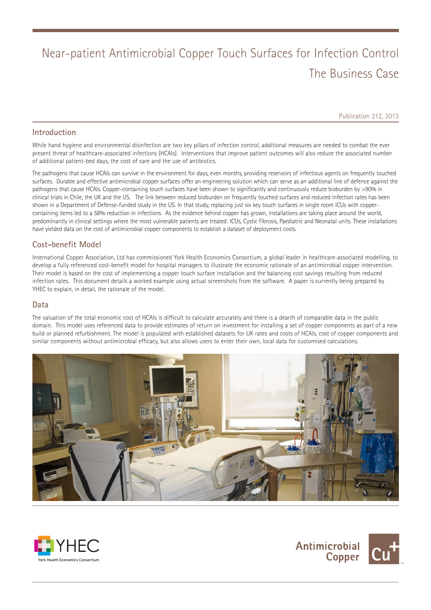# Near-patient Antimicrobial Copper Touch Surfaces for Infection Control The Business Case

Publication 212, 2013

### **Introduction**

While hand hygiene and environmental disinfection are two key pillars of infection control, additional measures are needed to combat the ever present threat of healthcare-associated infections (HCAIs). Interventions that improve patient outcomes will also reduce the associated number of additional patient-bed days, the cost of care and the use of antibiotics.

The pathogens that cause HCAIs can survive in the environment for days, even months, providing reservoirs of infectious agents on frequently touched surfaces. Durable and effective antimicrobial copper surfaces offer an engineering solution which can serve as an additional line of defence against the pathogens that cause HCAIs. Copper-containing touch surfaces have been shown to significantly and continuously reduce bioburden by >90% in clinical trials in Chile, the UK and the US. The link between reduced bioburden on frequently touched surfaces and reduced infection rates has been shown in a Department of Defense-funded study in the US. In that study, replacing just six key touch surfaces in single room ICUs with coppercontaining items led to a 58% reduction in infections. As the evidence behind copper has grown, installations are taking place around the world, predominantly in clinical settings where the most vulnerable patients are treated: ICUs, Cystic Fibrosis, Paediatric and Neonatal units. These installations have yielded data on the cost of antimicrobial copper components to establish a dataset of deployment costs.

# **Cost-benefit Model**

International Copper Association, Ltd has commissioned York Health Economics Consortium, a global leader in healthcare-associated modelling, to develop a fully referenced cost-benefit model for hospital managers to illustrate the economic rationale of an antimicrobial copper intervention. Their model is based on the cost of implementing a copper touch surface installation and the balancing cost savings resulting from reduced infection rates. This document details a worked example using actual screenshots from the software. A paper is currently being prepared by YHEC to explain, in detail, the rationale of the model.

#### **Data**

The valuation of the total economic cost of HCAIs is difficult to calculate accurately and there is a dearth of comparable data in the public domain. This model uses referenced data to provide estimates of return on investment for installing a set of copper components as part of a new build or planned refurbishment. The model is populated with established datasets for UK rates and costs of HCAIs, cost of copper components and similar components without antimicrobial efficacy, but also allows users to enter their own, local data for customised calculations.